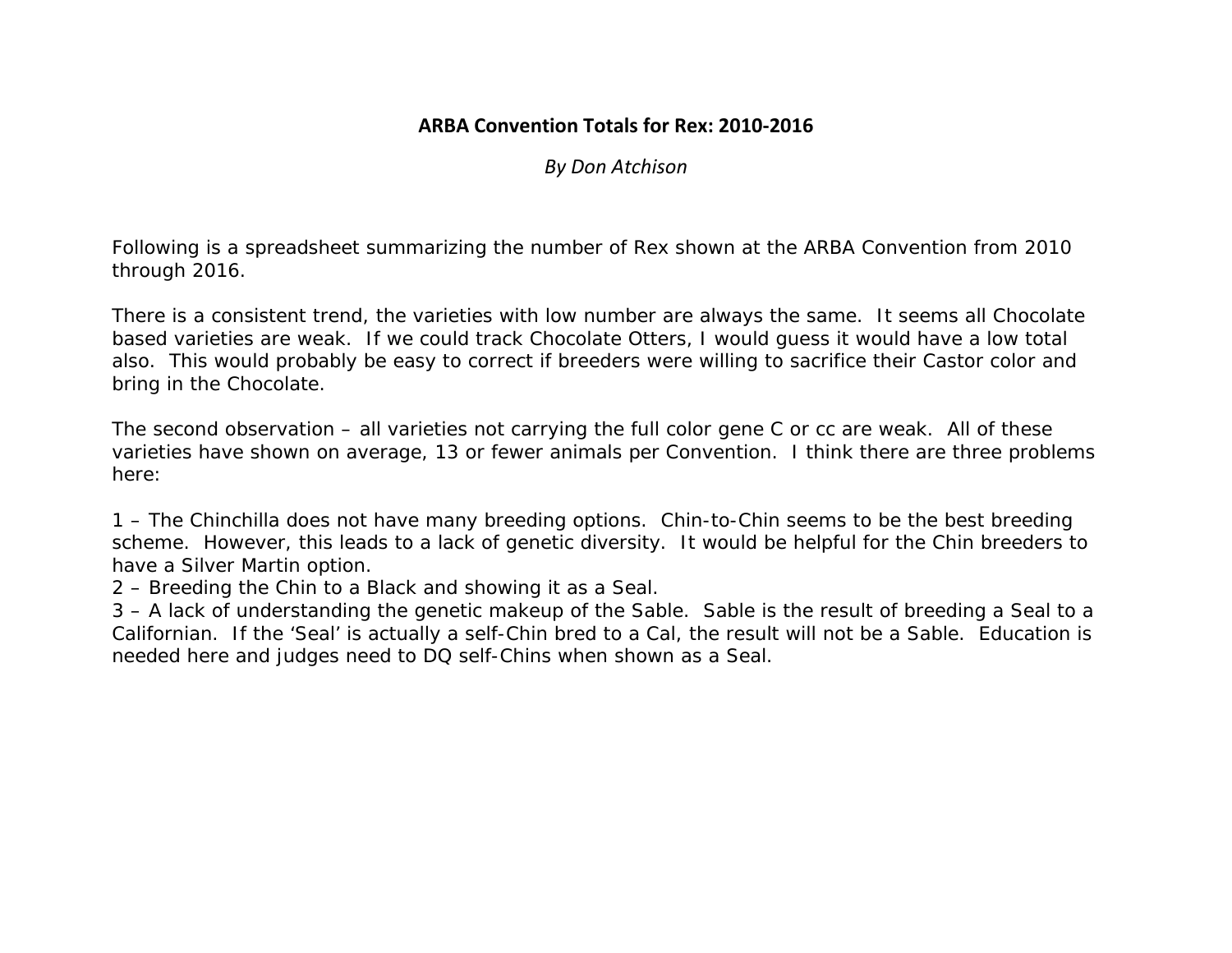## **ARBA Convention Totals for Rex: 2010‐2016**

*By Don Atchison* 

Following is a spreadsheet summarizing the number of Rex shown at the ARBA Convention from 2010 through 2016.

There is a consistent trend, the varieties with low number are always the same. It seems all Chocolate based varieties are weak. If we could track Chocolate Otters, I would guess it would have a low total also. This would probably be easy to correct if breeders were willing to sacrifice their Castor color and bring in the Chocolate.

The second observation – all varieties not carrying the full color gene C or cc are weak. All of these varieties have shown on average, 13 or fewer animals per Convention. I think there are three problems here:

1 – The Chinchilla does not have many breeding options. Chin-to-Chin seems to be the best breeding scheme. However, this leads to a lack of genetic diversity. It would be helpful for the Chin breeders to have a Silver Martin option.

2 – Breeding the Chin to a Black and showing it as a Seal.

3 – A lack of understanding the genetic makeup of the Sable. Sable is the result of breeding a Seal to a Californian. If the 'Seal' is actually a self-Chin bred to a Cal, the result will not be a Sable. Education is needed here and judges need to DQ self-Chins when shown as a Seal.